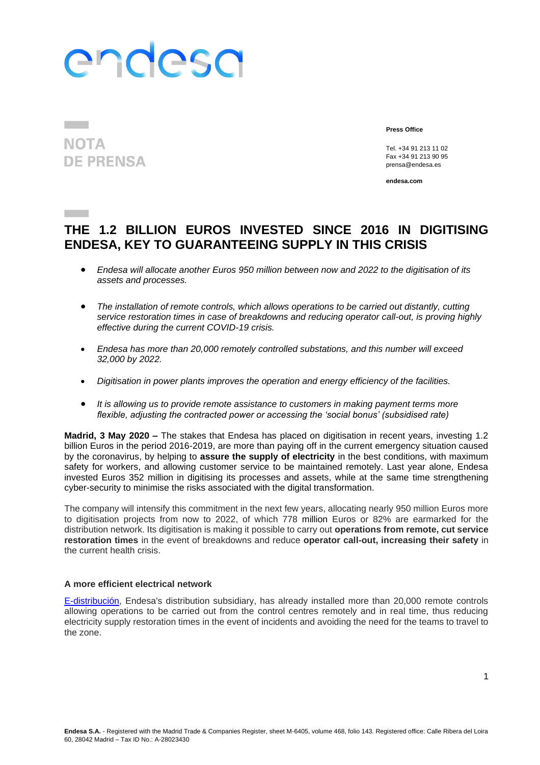# endesa

### **NOTA DE PRENSA**

**Press Office**

Tel. +34 91 213 11 02 Fax +34 91 213 90 95 prensa@endesa.es

**endesa.com**

### **THE 1.2 BILLION EUROS INVESTED SINCE 2016 IN DIGITISING ENDESA, KEY TO GUARANTEEING SUPPLY IN THIS CRISIS**

- *Endesa will allocate another Euros 950 million between now and 2022 to the digitisation of its assets and processes.*
- *The installation of remote controls, which allows operations to be carried out distantly, cutting service restoration times in case of breakdowns and reducing operator call-out, is proving highly effective during the current COVID-19 crisis.*
- *Endesa has more than 20,000 remotely controlled substations, and this number will exceed 32,000 by 2022.*
- *Digitisation in power plants improves the operation and energy efficiency of the facilities.*
- *It is allowing us to provide remote assistance to customers in making payment terms more flexible, adjusting the contracted power or accessing the 'social bonus' (subsidised rate)*

**Madrid, 3 May 2020 –** The stakes that Endesa has placed on digitisation in recent years, investing 1.2 billion Euros in the period 2016-2019, are more than paying off in the current emergency situation caused by the coronavirus, by helping to **assure the supply of electricity** in the best conditions, with maximum safety for workers, and allowing customer service to be maintained remotely. Last year alone, Endesa invested Euros 352 million in digitising its processes and assets, while at the same time strengthening cyber-security to minimise the risks associated with the digital transformation.

The company will intensify this commitment in the next few years, allocating nearly 950 million Euros more to digitisation projects from now to 2022, of which 778 million Euros or 82% are earmarked for the distribution network. Its digitisation is making it possible to carry out **operations from remote, cut service restoration times** in the event of breakdowns and reduce **operator call-out, increasing their safety** in the current health crisis.

#### **A more efficient electrical network**

[E-distribución,](https://www.edistribucion.com/) Endesa's distribution subsidiary, has already installed more than 20,000 remote controls allowing operations to be carried out from the control centres remotely and in real time, thus reducing electricity supply restoration times in the event of incidents and avoiding the need for the teams to travel to the zone.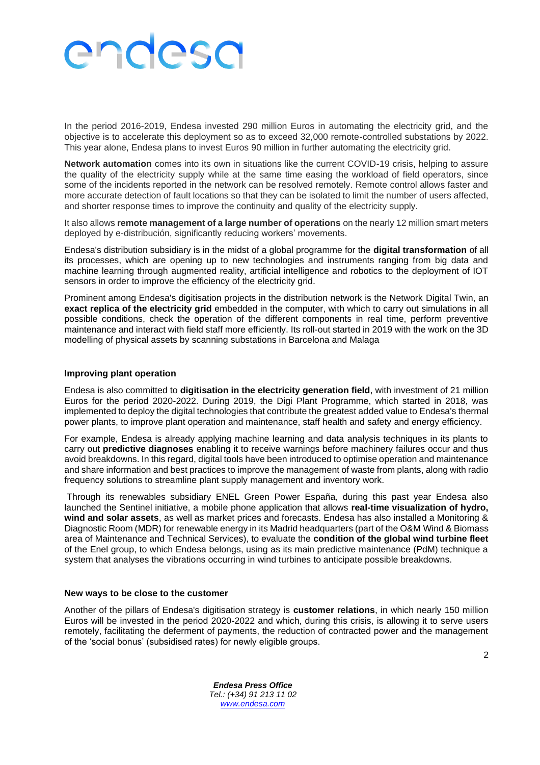## endesa

In the period 2016-2019, Endesa invested 290 million Euros in automating the electricity grid, and the objective is to accelerate this deployment so as to exceed 32,000 remote-controlled substations by 2022. This year alone, Endesa plans to invest Euros 90 million in further automating the electricity grid.

**Network automation** comes into its own in situations like the current COVID-19 crisis, helping to assure the quality of the electricity supply while at the same time easing the workload of field operators, since some of the incidents reported in the network can be resolved remotely. Remote control allows faster and more accurate detection of fault locations so that they can be isolated to limit the number of users affected, and shorter response times to improve the continuity and quality of the electricity supply.

It also allows **remote management of a large number of operations** on the nearly 12 million smart meters deployed by e-distribución, significantly reducing workers' movements.

Endesa's distribution subsidiary is in the midst of a global programme for the **digital transformation** of all its processes, which are opening up to new technologies and instruments ranging from big data and machine learning through augmented reality, artificial intelligence and robotics to the deployment of IOT sensors in order to improve the efficiency of the electricity grid.

Prominent among Endesa's digitisation projects in the distribution network is the Network Digital Twin, an **exact replica of the electricity grid** embedded in the computer, with which to carry out simulations in all possible conditions, check the operation of the different components in real time, perform preventive maintenance and interact with field staff more efficiently. Its roll-out started in 2019 with the work on the 3D modelling of physical assets by scanning substations in Barcelona and Malaga

#### **Improving plant operation**

Endesa is also committed to **digitisation in the electricity generation field**, with investment of 21 million Euros for the period 2020-2022. During 2019, the Digi Plant Programme, which started in 2018, was implemented to deploy the digital technologies that contribute the greatest added value to Endesa's thermal power plants, to improve plant operation and maintenance, staff health and safety and energy efficiency.

For example, Endesa is already applying machine learning and data analysis techniques in its plants to carry out **predictive diagnoses** enabling it to receive warnings before machinery failures occur and thus avoid breakdowns. In this regard, digital tools have been introduced to optimise operation and maintenance and share information and best practices to improve the management of waste from plants, along with radio frequency solutions to streamline plant supply management and inventory work.

Through its renewables subsidiary ENEL Green Power España, during this past year Endesa also launched the Sentinel initiative, a mobile phone application that allows **real-time visualization of hydro, wind and solar assets**, as well as market prices and forecasts. Endesa has also installed a Monitoring & Diagnostic Room (MDR) for renewable energy in its Madrid headquarters (part of the O&M Wind & Biomass area of Maintenance and Technical Services), to evaluate the **condition of the global wind turbine fleet** of the Enel group, to which Endesa belongs, using as its main predictive maintenance (PdM) technique a system that analyses the vibrations occurring in wind turbines to anticipate possible breakdowns.

#### **New ways to be close to the customer**

Another of the pillars of Endesa's digitisation strategy is **customer relations**, in which nearly 150 million Euros will be invested in the period 2020-2022 and which, during this crisis, is allowing it to serve users remotely, facilitating the deferment of payments, the reduction of contracted power and the management of the 'social bonus' (subsidised rates) for newly eligible groups.